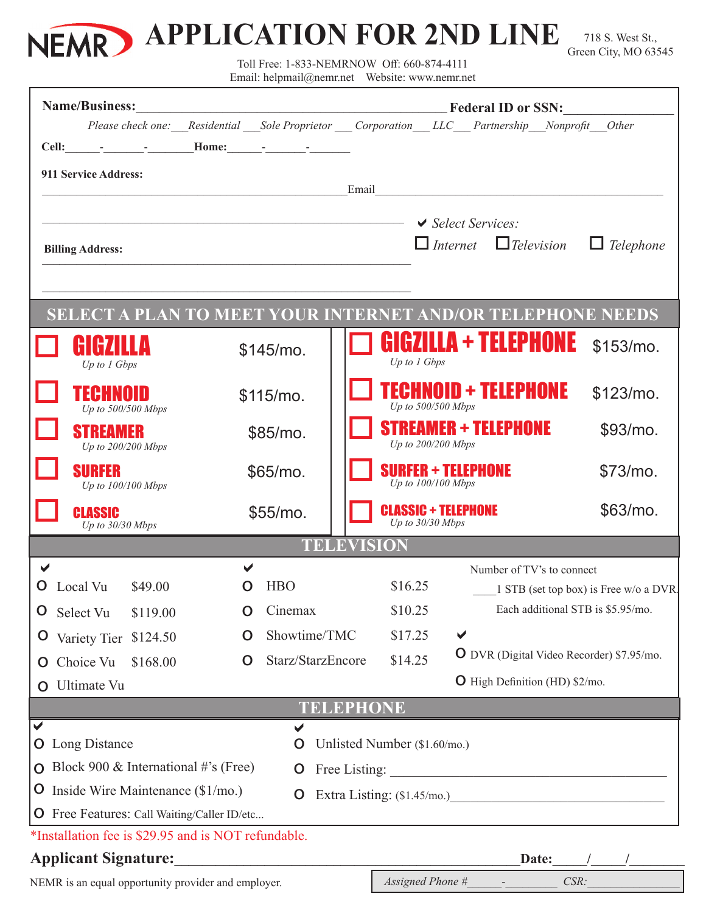

718 S. West St., Green City, MO 63545

Toll Free: 1-833-NEMRNOW Off: 660-874-4111

Email: helpmail@nemr.net Website: www.nemr.net

| <b>Name/Business:</b>                                  |                                                                                    |          |                                   |                   | <b>Example 2016</b> Federal ID or SSN:            |                                                                                           |                                                                             |  |
|--------------------------------------------------------|------------------------------------------------------------------------------------|----------|-----------------------------------|-------------------|---------------------------------------------------|-------------------------------------------------------------------------------------------|-----------------------------------------------------------------------------|--|
|                                                        |                                                                                    |          |                                   |                   |                                                   | Please check one: Residential Sole Proprietor Corporation LLC Partnership Nonprofit Other |                                                                             |  |
|                                                        |                                                                                    |          |                                   |                   |                                                   |                                                                                           |                                                                             |  |
|                                                        | 911 Service Address:                                                               |          |                                   | Email             |                                                   | <u> 1980 - Jan Barbara, margaret eta biztanleria (h. 1980).</u>                           |                                                                             |  |
|                                                        |                                                                                    |          |                                   |                   |                                                   |                                                                                           |                                                                             |  |
| $\blacktriangleright$ Select Services:                 |                                                                                    |          |                                   |                   |                                                   |                                                                                           |                                                                             |  |
| <b>Billing Address:</b>                                |                                                                                    |          |                                   |                   | $\Box$ Internet $\Box$ Television                 | $\Box$ Telephone                                                                          |                                                                             |  |
|                                                        |                                                                                    |          |                                   |                   |                                                   |                                                                                           |                                                                             |  |
|                                                        |                                                                                    |          |                                   |                   |                                                   | <b>SELECT A PLAN TO MEET YOUR INTERNET AND/OR TELEPHONE NEEDS</b>                         |                                                                             |  |
|                                                        | HIMAILD<br>Up to 1 Gbps                                                            |          | \$145/mo.                         |                   | Up to 1 Gbps                                      | GIGZILLA + TELEPHONE                                                                      | $$153/mol$ .                                                                |  |
|                                                        | TECHNOID<br>Up to 500/500 Mbps                                                     |          | $$115/mol$ .                      |                   | Up to 500/500 Mbps                                | <b>FECHNOID + TELEPHONE</b>                                                               | $$123/mol$ .                                                                |  |
|                                                        | <b>STREAMER</b><br>Up to 200/200 Mbps                                              |          | \$85/mo.                          |                   | Up to 200/200 Mbps                                | STREAMER + TELEPHONE                                                                      | $$93/mo$ .                                                                  |  |
|                                                        | <b>SURFER</b><br>Up to 100/100 Mbps                                                |          | \$65/mo.                          |                   | <b>SURFER + TELEPHONE</b><br>Up to $100/100$ Mbps |                                                                                           | $$73/mo$ .                                                                  |  |
|                                                        | <b>CLASSIC</b><br>Up to 30/30 Mbps                                                 | \$55/mo. |                                   |                   | <b>CLASSIC + TELEPHONE</b><br>Up to 30/30 Mbps    |                                                                                           | \$63/mo.                                                                    |  |
|                                                        |                                                                                    |          |                                   | <b>TELEVISION</b> |                                                   |                                                                                           |                                                                             |  |
| ✔<br>O                                                 | Local Vu<br>\$49.00                                                                | O        | <b>HBO</b>                        |                   |                                                   | Number of TV's to connect<br>\$16.25                                                      |                                                                             |  |
| O                                                      | Select Vu                                                                          | O        | Cinemax                           |                   | \$10.25                                           |                                                                                           | 1 STB (set top box) is Free w/o a DVR.<br>Each additional STB is \$5.95/mo. |  |
| $\mathbf{O}$                                           | \$119.00<br>Variety Tier \$124.50                                                  |          |                                   |                   | \$17.25                                           | ✔                                                                                         |                                                                             |  |
|                                                        | Choice Vu<br>\$168.00                                                              | O        | Showtime/TMC<br>Starz/StarzEncore |                   | \$14.25                                           |                                                                                           | <b>O</b> DVR (Digital Video Recorder) \$7.95/mo.                            |  |
| $\mathbf{O}$                                           | O Ultimate Vu                                                                      |          |                                   |                   |                                                   | <b>O</b> High Definition (HD) \$2/mo.                                                     |                                                                             |  |
|                                                        |                                                                                    |          |                                   | <b>TELEPHONE</b>  |                                                   |                                                                                           |                                                                             |  |
| ✔                                                      |                                                                                    |          |                                   |                   |                                                   |                                                                                           |                                                                             |  |
| <b>O</b> Long Distance<br>Unlisted Number (\$1.60/mo.) |                                                                                    |          |                                   |                   |                                                   |                                                                                           |                                                                             |  |
|                                                        | O Block 900 & International #'s (Free)                                             |          | $\mathbf{O}$                      |                   |                                                   |                                                                                           |                                                                             |  |
|                                                        | <b>O</b> Inside Wire Maintenance $(\$1/mo.)$                                       |          |                                   |                   |                                                   |                                                                                           |                                                                             |  |
|                                                        | <b>O</b> Free Features: Call Waiting/Caller ID/etc                                 |          |                                   |                   |                                                   |                                                                                           |                                                                             |  |
|                                                        | *Installation fee is \$29.95 and is NOT refundable.                                |          |                                   |                   |                                                   |                                                                                           |                                                                             |  |
|                                                        | <b>Applicant Signature:</b><br>NEMR is an equal opportunity provider and employer. |          |                                   |                   | Assigned Phone #                                  | Date:                                                                                     | CSR:                                                                        |  |